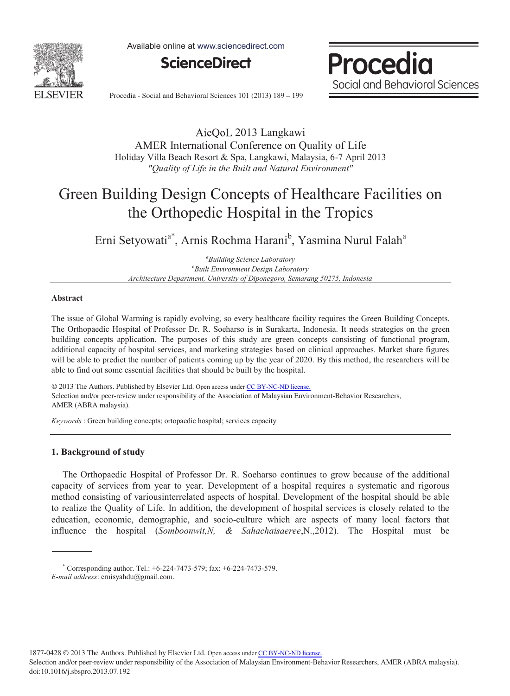

Available online at www.sciencedirect.com



**Procedia** Social and Behavioral Sciences

Procedia - Social and Behavioral Sciences 101 (2013) 189 - 199

2013 Langkawi AMER International Conference on Quality of Life Holiday Villa Beach Resort & Spa, Langkawi, Malaysia, 6-7 April 2013 *"Quality of Life in the Built and Natural Environment"*

# Green Building Design Concepts of Healthcare Facilities on the Orthopedic Hospital in the Tropics

Erni Setyowati<sup>a\*</sup>, Arnis Rochma Harani<sup>b</sup>, Yasmina Nurul Falah<sup>a</sup>

*a Building Science Laboratory b Built Environment Design Laboratory Architecture Department, University of Diponegoro, Semarang 50275, Indonesia*

## **Abstract**

The issue of Global Warming is rapidly evolving, so every healthcare facility requires the Green Building Concepts. The Orthopaedic Hospital of Professor Dr. R. Soeharso is in Surakarta, Indonesia. It needs strategies on the green building concepts application. The purposes of this study are green concepts consisting of functional program, additional capacity of hospital services, and marketing strategies based on clinical approaches. Market share figures will be able to predict the number of patients coming up by the year of 2020. By this method, the researchers will be able to find out some essential facilities that should be built by the hospital.

 $\odot$  2013 The Authors. Published by Elsevier Ltd. Open access under CC BY-NC-ND license. Selection and/or peer-review under responsibility of the Association of Malaysian Environment-Behavior Researchers,<br>AMER (ABRA medania). © 2013 The Authors. Published by Elsevier Ltd. Open access under [CC BY-NC-ND license.](http://creativecommons.org/licenses/by-nc-nd/3.0/) AMER (ABRA malaysia).

*Keywords* : Green building concepts; ortopaedic hospital; services capacity

## **1. Background of study**

The Orthopaedic Hospital of Professor Dr. R. Soeharso continues to grow because of the additional capacity of services from year to year. Development of a hospital requires a systematic and rigorous method consisting of variousinterrelated aspects of hospital. Development of the hospital should be able to realize the Quality of Life. In addition, the development of hospital services is closely related to the education, economic, demographic, and socio-culture which are aspects of many local factors that influence the hospital (*Somboonwit,N, & Sahachaisaeree*,N.,2012). The Hospital must be

1877-0428 © 2013 The Authors. Published by Elsevier Ltd. Open access under [CC BY-NC-ND license.](http://creativecommons.org/licenses/by-nc-nd/3.0/)

 $*$  Corresponding author. Tel.:  $+6-224-7473-579$ ; fax:  $+6-224-7473-579$ .

*E-mail address*: ernisyahdu@gmail.com.

Selection and/or peer-review under responsibility of the Association of Malaysian Environment-Behavior Researchers, AMER (ABRA malaysia). doi: 10.1016/j.sbspro.2013.07.192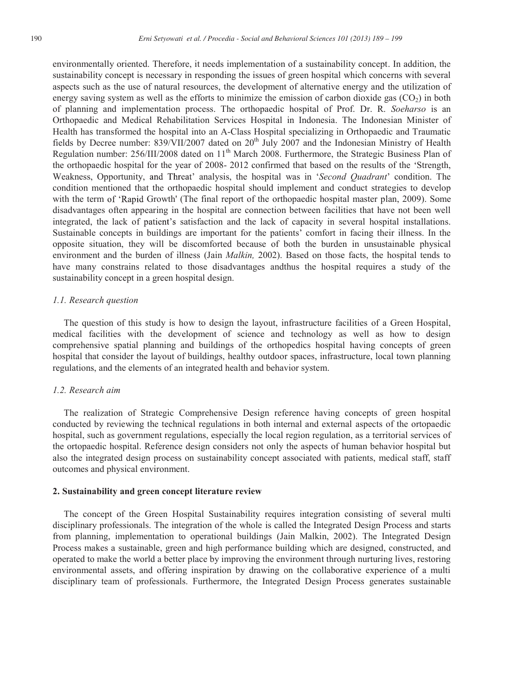environmentally oriented. Therefore, it needs implementation of a sustainability concept. In addition, the sustainability concept is necessary in responding the issues of green hospital which concerns with several aspects such as the use of natural resources, the development of alternative energy and the utilization of energy saving system as well as the efforts to minimize the emission of carbon dioxide gas  $(CO<sub>2</sub>)$  in both of planning and implementation process. The orthopaedic hospital of Prof. Dr. R. *Soeharso* is an Orthopaedic and Medical Rehabilitation Services Hospital in Indonesia. The Indonesian Minister of Health has transformed the hospital into an A-Class Hospital specializing in Orthopaedic and Traumatic fields by Decree number:  $839/VII/2007$  dated on  $20<sup>th</sup>$  July 2007 and the Indonesian Ministry of Health Regulation number: 256/III/2008 dated on 11<sup>th</sup> March 2008. Furthermore, the Strategic Business Plan of the orthopaedic hospital for the year of 2008- 2012 confirmed that based on the results of the Strength, Weakness, Opportunity, and Threat' analysis, the hospital was in *'Second Quadrant'* condition. The condition mentioned that the orthopaedic hospital should implement and conduct strategies to develop with the term of 'Rapid Growth' (The final report of the orthopaedic hospital master plan, 2009). Some disadvantages often appearing in the hospital are connection between facilities that have not been well integrated, the lack of patient's satisfaction and the lack of capacity in several hospital installations. Sustainable concepts in buildings are important for the patients' comfort in facing their illness. In the opposite situation, they will be discomforted because of both the burden in unsustainable physical environment and the burden of illness (Jain *Malkin,* 2002). Based on those facts, the hospital tends to have many constrains related to those disadvantages andthus the hospital requires a study of the sustainability concept in a green hospital design.

#### *1.1. Research question*

The question of this study is how to design the layout, infrastructure facilities of a Green Hospital, medical facilities with the development of science and technology as well as how to design comprehensive spatial planning and buildings of the orthopedics hospital having concepts of green hospital that consider the layout of buildings, healthy outdoor spaces, infrastructure, local town planning regulations, and the elements of an integrated health and behavior system.

### *1.2. Research aim*

The realization of Strategic Comprehensive Design reference having concepts of green hospital conducted by reviewing the technical regulations in both internal and external aspects of the ortopaedic hospital, such as government regulations, especially the local region regulation, as a territorial services of the ortopaedic hospital. Reference design considers not only the aspects of human behavior hospital but also the integrated design process on sustainability concept associated with patients, medical staff, staff outcomes and physical environment.

#### **2. Sustainability and green concept literature review**

The concept of the Green Hospital Sustainability requires integration consisting of several multi disciplinary professionals. The integration of the whole is called the Integrated Design Process and starts from planning, implementation to operational buildings (Jain Malkin, 2002). The Integrated Design Process makes a sustainable, green and high performance building which are designed, constructed, and operated to make the world a better place by improving the environment through nurturing lives, restoring environmental assets, and offering inspiration by drawing on the collaborative experience of a multi disciplinary team of professionals. Furthermore, the Integrated Design Process generates sustainable